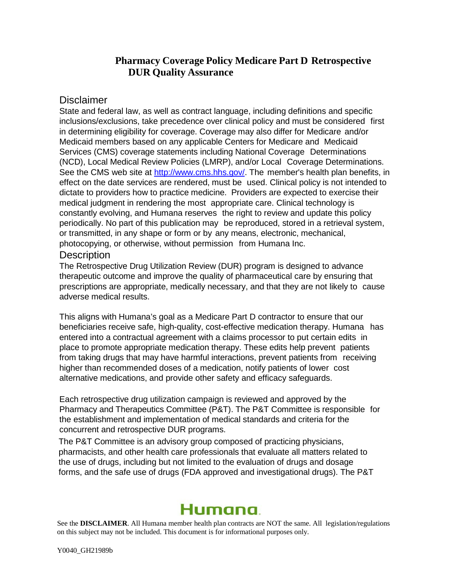## **Pharmacy Coverage Policy Medicare Part D Retrospective DUR Quality Assurance**

### **Disclaimer**

State and federal law, as well as contract language, including definitions and specific inclusions/exclusions, take precedence over clinical policy and must be considered first in determining eligibility for coverage. Coverage may also differ for Medicare and/or Medicaid members based on any applicable Centers for Medicare and Medicaid Services (CMS) coverage statements including National Coverage Determinations (NCD), Local Medical Review Policies (LMRP), and/or Local Coverage Determinations. See the CMS web site at [http://www.cms.hhs.gov/.](http://www.cms.hhs.gov/) The member's health plan benefits, in effect on the date services are rendered, must be used. Clinical policy is not intended to dictate to providers how to practice medicine. Providers are expected to exercise their medical judgment in rendering the most appropriate care. Clinical technology is constantly evolving, and Humana reserves the right to review and update this policy periodically. No part of this publication may be reproduced, stored in a retrieval system, or transmitted, in any shape or form or by any means, electronic, mechanical, photocopying, or otherwise, without permission from Humana Inc.

### **Description**

The Retrospective Drug Utilization Review (DUR) program is designed to advance therapeutic outcome and improve the quality of pharmaceutical care by ensuring that prescriptions are appropriate, medically necessary, and that they are not likely to cause adverse medical results.

This aligns with Humana's goal as a Medicare Part D contractor to ensure that our beneficiaries receive safe, high-quality, cost-effective medication therapy. Humana has entered into a contractual agreement with a claims processor to put certain edits in place to promote appropriate medication therapy. These edits help prevent patients from taking drugs that may have harmful interactions, prevent patients from receiving higher than recommended doses of a medication, notify patients of lower cost alternative medications, and provide other safety and efficacy safeguards.

Each retrospective drug utilization campaign is reviewed and approved by the Pharmacy and Therapeutics Committee (P&T). The P&T Committee is responsible for the establishment and implementation of medical standards and criteria for the concurrent and retrospective DUR programs.

The P&T Committee is an advisory group composed of practicing physicians, pharmacists, and other health care professionals that evaluate all matters related to the use of drugs, including but not limited to the evaluation of drugs and dosage forms, and the safe use of drugs (FDA approved and investigational drugs). The P&T

# Humana

See the **DISCLAIMER**. All Humana member health plan contracts are NOT the same. All legislation/regulations on this subject may not be included. This document is for informational purposes only.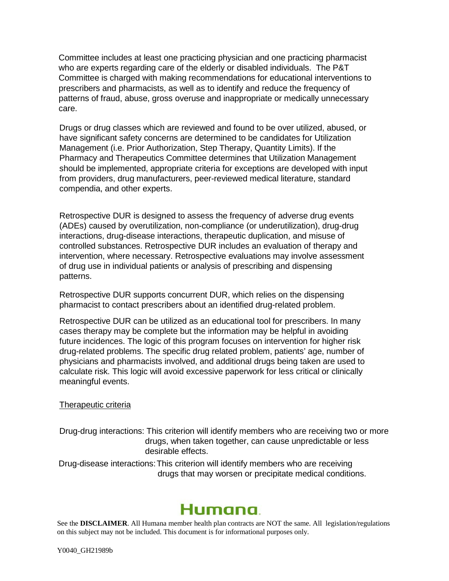Committee includes at least one practicing physician and one practicing pharmacist who are experts regarding care of the elderly or disabled individuals. The P&T Committee is charged with making recommendations for educational interventions to prescribers and pharmacists, as well as to identify and reduce the frequency of patterns of fraud, abuse, gross overuse and inappropriate or medically unnecessary care.

Drugs or drug classes which are reviewed and found to be over utilized, abused, or have significant safety concerns are determined to be candidates for Utilization Management (i.e. Prior Authorization, Step Therapy, Quantity Limits). If the Pharmacy and Therapeutics Committee determines that Utilization Management should be implemented, appropriate criteria for exceptions are developed with input from providers, drug manufacturers, peer-reviewed medical literature, standard compendia, and other experts.

Retrospective DUR is designed to assess the frequency of adverse drug events (ADEs) caused by overutilization, non-compliance (or underutilization), drug-drug interactions, drug-disease interactions, therapeutic duplication, and misuse of controlled substances. Retrospective DUR includes an evaluation of therapy and intervention, where necessary. Retrospective evaluations may involve assessment of drug use in individual patients or analysis of prescribing and dispensing patterns.

Retrospective DUR supports concurrent DUR, which relies on the dispensing pharmacist to contact prescribers about an identified drug-related problem.

Retrospective DUR can be utilized as an educational tool for prescribers. In many cases therapy may be complete but the information may be helpful in avoiding future incidences. The logic of this program focuses on intervention for higher risk drug-related problems. The specific drug related problem, patients' age, number of physicians and pharmacists involved, and additional drugs being taken are used to calculate risk. This logic will avoid excessive paperwork for less critical or clinically meaningful events.

#### Therapeutic criteria

Drug-drug interactions: This criterion will identify members who are receiving two or more drugs, when taken together, can cause unpredictable or less desirable effects.

Drug-disease interactions:This criterion will identify members who are receiving drugs that may worsen or precipitate medical conditions.

## Humana.

See the **DISCLAIMER**. All Humana member health plan contracts are NOT the same. All legislation/regulations on this subject may not be included. This document is for informational purposes only.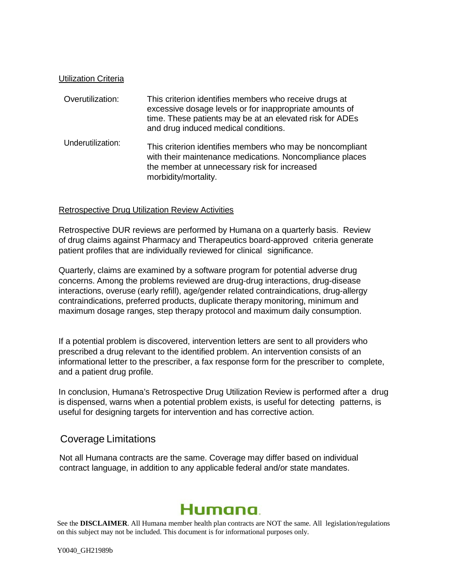#### Utilization Criteria

| Overutilization:  | This criterion identifies members who receive drugs at<br>excessive dosage levels or for inappropriate amounts of<br>time. These patients may be at an elevated risk for ADEs<br>and drug induced medical conditions. |
|-------------------|-----------------------------------------------------------------------------------------------------------------------------------------------------------------------------------------------------------------------|
| Underutilization: | This criterion identifies members who may be noncompliant<br>with their maintenance medications. Noncompliance places<br>the member at unnecessary risk for increased<br>morbidity/mortality.                         |

#### Retrospective Drug Utilization Review Activities

Retrospective DUR reviews are performed by Humana on a quarterly basis. Review of drug claims against Pharmacy and Therapeutics board-approved criteria generate patient profiles that are individually reviewed for clinical significance.

Quarterly, claims are examined by a software program for potential adverse drug concerns. Among the problems reviewed are drug-drug interactions, drug-disease interactions, overuse (early refill), age/gender related contraindications, drug-allergy contraindications, preferred products, duplicate therapy monitoring, minimum and maximum dosage ranges, step therapy protocol and maximum daily consumption.

If a potential problem is discovered, intervention letters are sent to all providers who prescribed a drug relevant to the identified problem. An intervention consists of an informational letter to the prescriber, a fax response form for the prescriber to complete, and a patient drug profile.

In conclusion, Humana's Retrospective Drug Utilization Review is performed after a drug is dispensed, warns when a potential problem exists, is useful for detecting patterns, is useful for designing targets for intervention and has corrective action.

### Coverage Limitations

Not all Humana contracts are the same. Coverage may differ based on individual contract language, in addition to any applicable federal and/or state mandates.

## Humana

See the **DISCLAIMER**. All Humana member health plan contracts are NOT the same. All legislation/regulations on this subject may not be included. This document is for informational purposes only.